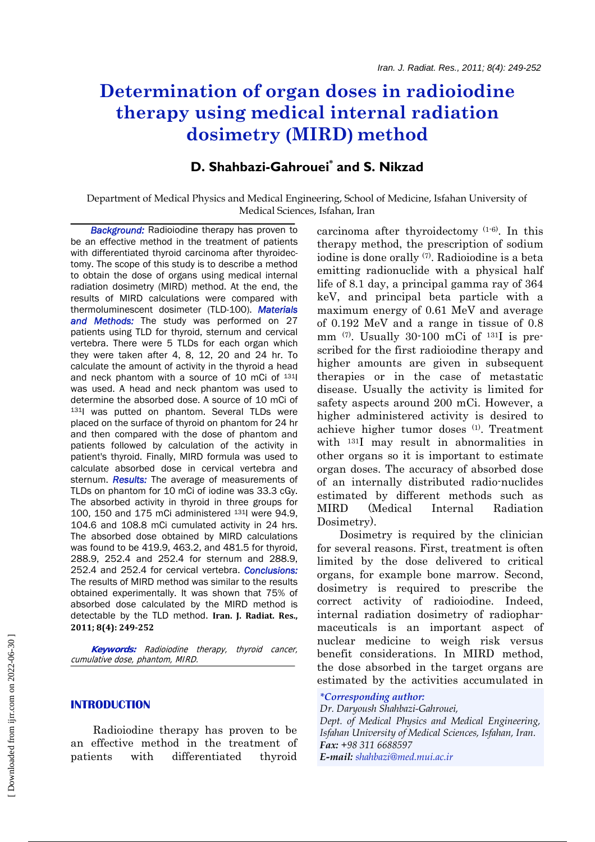# **Determination of organ doses in radioiodine therapy using medical internal radiation dosimetry (MIRD) method**

# **D. Shahbazi-Gahrouei\* and S. Nikzad**

# Department of Medical Physics and Medical Engineering, School of Medicine, Isfahan University of Medical Sciences, Isfahan, Iran

 *Background:* Radioiodine therapy has proven to be an effective method in the treatment of patients with differentiated thyroid carcinoma after thyroidectomy. The scope of this study is to describe a method to obtain the dose of organs using medical internal radiation dosimetry (MIRD) method. At the end, the results of MIRD calculations were compared with thermoluminescent dosimeter (TLD-100). *Materials and Methods:* The study was performed on 27 patients using TLD for thyroid, sternum and cervical vertebra. There were 5 TLDs for each organ which they were taken after 4, 8, 12, 20 and 24 hr. To calculate the amount of activity in the thyroid a head and neck phantom with a source of 10 mCi of 131I was used. A head and neck phantom was used to determine the absorbed dose. A source of 10 mCi of 131I was putted on phantom. Several TLDs were placed on the surface of thyroid on phantom for 24 hr and then compared with the dose of phantom and patients followed by calculation of the activity in patient's thyroid. Finally, MIRD formula was used to calculate absorbed dose in cervical vertebra and sternum. *Results:* The average of measurements of TLDs on phantom for 10 mCi of iodine was 33.3 cGy. The absorbed activity in thyroid in three groups for 100, 150 and 175 mCi administered 131I were 94.9, 104.6 and 108.8 mCi cumulated activity in 24 hrs. The absorbed dose obtained by MIRD calculations was found to be 419.9, 463.2, and 481.5 for thyroid, 288.9, 252.4 and 252.4 for sternum and 288.9, 252.4 and 252.4 for cervical vertebra. *Conclusions:*  The results of MIRD method was similar to the results obtained experimentally. It was shown that 75% of absorbed dose calculated by the MIRD method is detectable by the TLD method. **Iran. J. Radiat. Res., 2011; 8(4): 249252**

 **Keywords:** Radioiodine therapy, thyroid cancer, cumulative dose, phantom, MIRD.

# **INTRODUCTION**

Radioiodine therapy has proven to be an effective method in the treatment of patients with differentiated thyroid carcinoma after thyroidectomy (1-6). In this therapy method, the prescription of sodium iodine is done orally (7). Radioiodine is a beta emitting radionuclide with a physical half life of 8.1 day, a principal gamma ray of 364 keV, and principal beta particle with a maximum energy of 0.61 MeV and average of 0.192 MeV and a range in tissue of 0.8 mm  $(7)$ . Usually 30-100 mCi of  $131$  is prescribed for the first radioiodine therapy and higher amounts are given in subsequent therapies or in the case of metastatic disease. Usually the activity is limited for safety aspects around 200 mCi. However, a higher administered activity is desired to achieve higher tumor doses (1). Treatment with 131I may result in abnormalities in other organs so it is important to estimate organ doses. The accuracy of absorbed dose of an internally distributed radio-nuclides estimated by different methods such as MIRD (Medical Internal Radiation Dosimetry).

Dosimetry is required by the clinician for several reasons. First, treatment is often limited by the dose delivered to critical organs, for example bone marrow. Second, dosimetry is required to prescribe the correct activity of radioiodine. Indeed, internal radiation dosimetry of radiopharmaceuticals is an important aspect of nuclear medicine to weigh risk versus benefit considerations. In MIRD method, the dose absorbed in the target organs are estimated by the activities accumulated in

# *\*Corresponding author:*

*Dr. Daryoush Shahbazi-Gahrouei, Dept. of Medical Physics and Medical Engineering, Isfahan University of Medical Sciences, Isfahan, Iran. Fax: +98 311 6688597 E-mail: shahbazi@med.mui.ac.ir*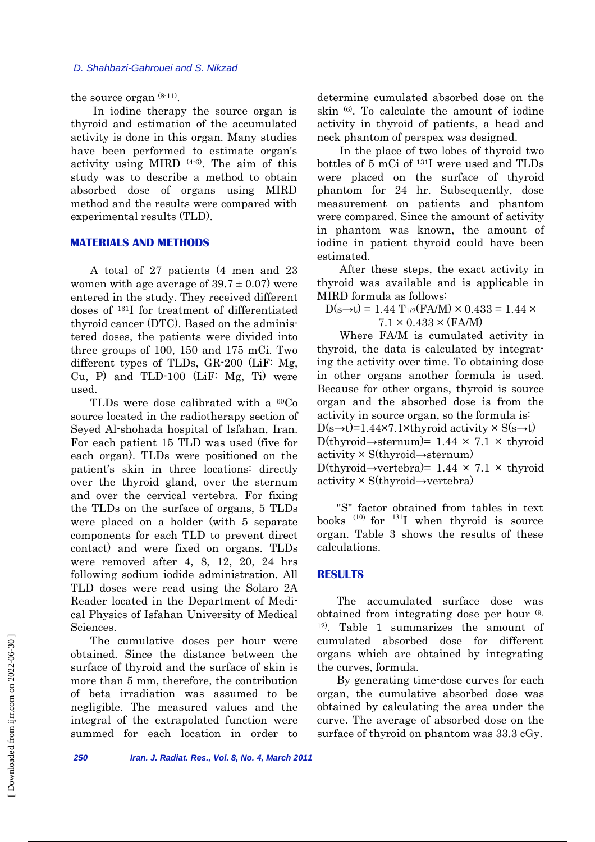#### *D. Shahbazi-Gahrouei and S. Nikzad*

the source organ (8-11).

In iodine therapy the source organ is thyroid and estimation of the accumulated activity is done in this organ. Many studies have been performed to estimate organ's activity using MIRD (4-6). The aim of this study was to describe a method to obtain absorbed dose of organs using MIRD method and the results were compared with experimental results (TLD).

# **MATERIALS AND METHODS**

A total of 27 patients (4 men and 23 women with age average of  $39.7 \pm 0.07$ ) were entered in the study. They received different doses of 131I for treatment of differentiated thyroid cancer (DTC). Based on the administered doses, the patients were divided into three groups of 100, 150 and 175 mCi. Two different types of TLDs, GR-200 (LiF: Mg, Cu, P) and TLD-100 (LiF: Mg, Ti) were used.

TLDs were dose calibrated with a <sup>60</sup>Co source located in the radiotherapy section of Seyed Al-shohada hospital of Isfahan, Iran. For each patient 15 TLD was used (five for each organ). TLDs were positioned on the patient's skin in three locations: directly over the thyroid gland, over the sternum and over the cervical vertebra. For fixing the TLDs on the surface of organs, 5 TLDs were placed on a holder (with 5 separate components for each TLD to prevent direct contact) and were fixed on organs. TLDs were removed after 4, 8, 12, 20, 24 hrs following sodium iodide administration. All TLD doses were read using the Solaro 2A Reader located in the Department of Medical Physics of Isfahan University of Medical Sciences.

The cumulative doses per hour were obtained. Since the distance between the surface of thyroid and the surface of skin is more than 5 mm, therefore, the contribution of beta irradiation was assumed to be negligible. The measured values and the integral of the extrapolated function were summed for each location in order to determine cumulated absorbed dose on the skin (6). To calculate the amount of iodine activity in thyroid of patients, a head and neck phantom of perspex was designed.

In the place of two lobes of thyroid two bottles of 5 mCi of 131I were used and TLDs were placed on the surface of thyroid phantom for 24 hr. Subsequently, dose measurement on patients and phantom were compared. Since the amount of activity in phantom was known, the amount of iodine in patient thyroid could have been estimated.

After these steps, the exact activity in thyroid was available and is applicable in MIRD formula as follows:

 $D(s\rightarrow t) = 1.44$  T<sub>1/2</sub>(FA/M) × 0.433 = 1.44 ×  $7.1 \times 0.433 \times (FA/M)$ 

Where FA/M is cumulated activity in thyroid, the data is calculated by integrating the activity over time. To obtaining dose in other organs another formula is used. Because for other organs, thyroid is source organ and the absorbed dose is from the activity in source organ, so the formula is:  $D(s\rightarrow t)=1.44\times7.1\times$ thyroid activity  $\times S(s\rightarrow t)$ D(thyroid→sternum)=  $1.44 \times 7.1 \times$  thyroid activity × S(thyroid→sternum) D(thyroid→vertebra)=  $1.44 \times 7.1 \times$  thyroid activity × S(thyroid→vertebra)

"S" factor obtained from tables in text books  $^{(10)}$  for  $^{131}I$  when thyroid is source organ. Table 3 shows the results of these calculations.

#### **RESULTS**

The accumulated surface dose was obtained from integrating dose per hour (9, 12). Table 1 summarizes the amount of cumulated absorbed dose for different organs which are obtained by integrating the curves, formula.

By generating time-dose curves for each organ, the cumulative absorbed dose was obtained by calculating the area under the curve. The average of absorbed dose on the surface of thyroid on phantom was 33.3 cGy.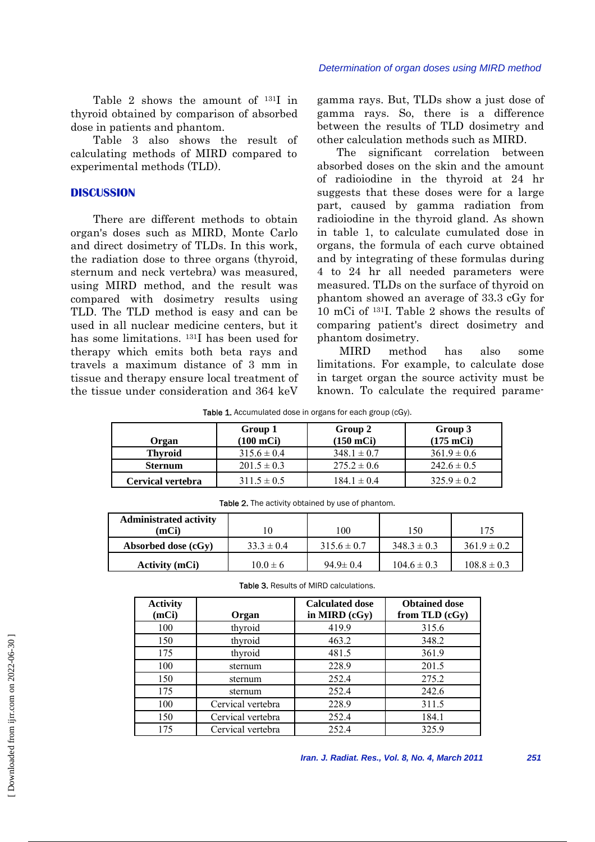Table 2 shows the amount of 131I in thyroid obtained by comparison of absorbed dose in patients and phantom.

Table 3 also shows the result of calculating methods of MIRD compared to experimental methods (TLD).

# **DISCUSSION**

There are different methods to obtain organ's doses such as MIRD, Monte Carlo and direct dosimetry of TLDs. In this work, the radiation dose to three organs (thyroid, sternum and neck vertebra) was measured, using MIRD method, and the result was compared with dosimetry results using TLD. The TLD method is easy and can be used in all nuclear medicine centers, but it has some limitations. 131I has been used for therapy which emits both beta rays and travels a maximum distance of 3 mm in tissue and therapy ensure local treatment of the tissue under consideration and 364 keV gamma rays. But, TLDs show a just dose of gamma rays. So, there is a difference between the results of TLD dosimetry and other calculation methods such as MIRD.

The significant correlation between absorbed doses on the skin and the amount of radioiodine in the thyroid at 24 hr suggests that these doses were for a large part, caused by gamma radiation from radioiodine in the thyroid gland. As shown in table 1, to calculate cumulated dose in organs, the formula of each curve obtained and by integrating of these formulas during 4 to 24 hr all needed parameters were measured. TLDs on the surface of thyroid on phantom showed an average of 33.3 cGy for 10 mCi of 131I. Table 2 shows the results of comparing patient's direct dosimetry and phantom dosimetry.

MIRD method has also some limitations. For example, to calculate dose in target organ the source activity must be known. To calculate the required parame-

Table 1. Accumulated dose in organs for each group (cGy).

| Organ             | Group 1<br>(100 mCi) | Group 2<br>$(150$ mCi $)$ | Group 3<br>$(175 \text{ mCi})$ |
|-------------------|----------------------|---------------------------|--------------------------------|
| <b>Thyroid</b>    | $315.6 \pm 0.4$      | $348.1 \pm 0.7$           | $361.9 \pm 0.6$                |
| <b>Sternum</b>    | $201.5 \pm 0.3$      | $275.2 \pm 0.6$           | $242.6 \pm 0.5$                |
| Cervical vertebra | $311.5 \pm 0.5$      | $184.1 \pm 0.4$           | $325.9 \pm 0.2$                |

Table 2. The activity obtained by use of phantom.

| <b>Administrated activity</b><br>(mCi) |                | 100             | 150             | 175             |
|----------------------------------------|----------------|-----------------|-----------------|-----------------|
| Absorbed dose (cGy)                    | $33.3 \pm 0.4$ | $315.6 \pm 0.7$ | $348.3 \pm 0.3$ | $361.9 \pm 0.2$ |
| <b>Activity (mCi)</b>                  | $10.0 \pm 6$   | $94.9 \pm 0.4$  | $104.6 \pm 0.3$ | $108.8 \pm 0.3$ |

|  |  |  | <b>Table 3. Results of MIRD calculations.</b> |
|--|--|--|-----------------------------------------------|
|--|--|--|-----------------------------------------------|

| <b>Activity</b><br>(mCi) | Organ             | <b>Calculated dose</b><br>in MIRD (cGy) | <b>Obtained dose</b><br>from TLD $(cGy)$ |
|--------------------------|-------------------|-----------------------------------------|------------------------------------------|
| 100                      | thyroid           | 419.9                                   | 315.6                                    |
| 150                      | thyroid           | 463.2                                   | 348.2                                    |
| 175                      | thyroid           | 481.5                                   | 361.9                                    |
| 100                      | sternum           | 228.9                                   | 201.5                                    |
| 150                      | sternum           | 252.4                                   | 275.2                                    |
| 175                      | sternum           | 252.4                                   | 242.6                                    |
| 100                      | Cervical vertebra | 228.9                                   | 311.5                                    |
| 150                      | Cervical vertebra | 252.4                                   | 184.1                                    |
| 175                      | Cervical vertebra | 252.4                                   | 325.9                                    |